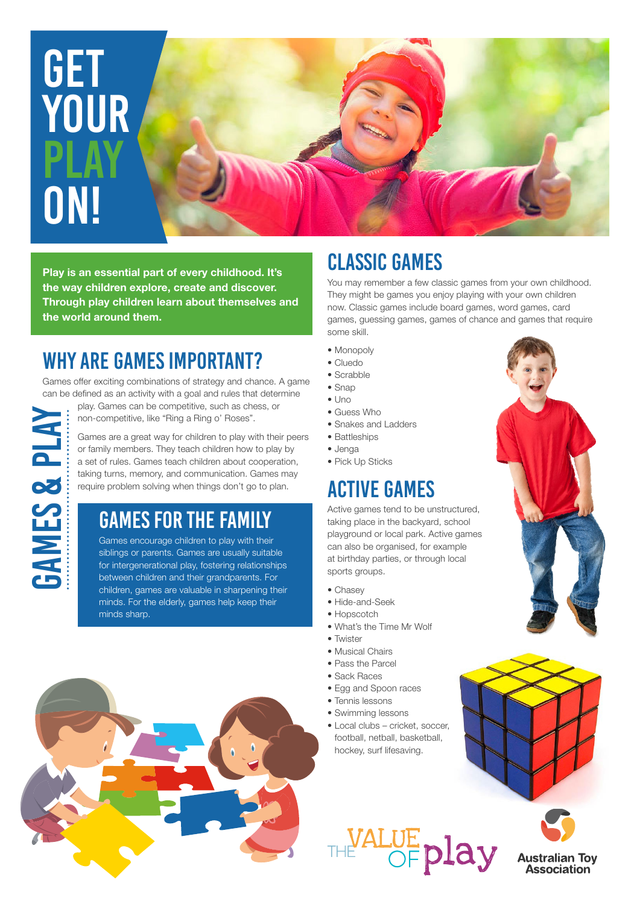# get **YOUR PLAY** on!

**Play is an essential part of every childhood. It's the way children explore, create and discover. Through play children learn about themselves and the world around them.**

### WHY ARE games IMPORTANT?

games & play

**GAMES & PLAY** 

Games offer exciting combinations of strategy and chance. A game can be defined as an activity with a goal and rules that determine

play. Games can be competitive, such as chess, or non-competitive, like "Ring a Ring o' Roses".

Games are a great way for children to play with their peers or family members. They teach children how to play by a set of rules. Games teach children about cooperation, taking turns, memory, and communication. Games may require problem solving when things don't go to plan.

#### GAMES FOR THE FAMILY

Games encourage children to play with their siblings or parents. Games are usually suitable for intergenerational play, fostering relationships between children and their grandparents. For children, games are valuable in sharpening their minds. For the elderly, games help keep their minds sharp.

## CLASSIC GAMES

You may remember a few classic games from your own childhood. They might be games you enjoy playing with your own children now. Classic games include board games, word games, card games, guessing games, games of chance and games that require

- some skill. • Monopoly
- Cluedo
- Scrabble
- Snap
- $\bullet$  Uno
- Guess Who
- Snakes and Ladders
- Battleships
- Jenga
- Pick Up Sticks

### ACTIVE GAMES

Active games tend to be unstructured, taking place in the backyard, school playground or local park. Active games can also be organised, for example at birthday parties, or through local sports groups.

- Chasey
- Hide-and-Seek
- Hopscotch
- What's the Time Mr Wolf
- Twister
- Musical Chairs
- Pass the Parcel
- Sack Races
- Egg and Spoon races
- Tennis lessons
- Swimming lessons
- Local clubs cricket, soccer, football, netball, basketball, hockey, surf lifesaving.







**Australian Toy**